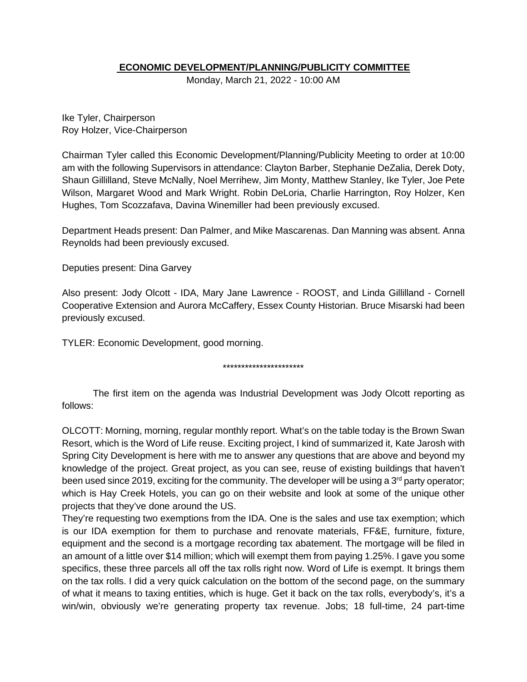## **ECONOMIC DEVELOPMENT/PLANNING/PUBLICITY COMMITTEE**

Monday, March 21, 2022 - 10:00 AM

Ike Tyler, Chairperson Roy Holzer, Vice-Chairperson

Chairman Tyler called this Economic Development/Planning/Publicity Meeting to order at 10:00 am with the following Supervisors in attendance: Clayton Barber, Stephanie DeZalia, Derek Doty, Shaun Gillilland, Steve McNally, Noel Merrihew, Jim Monty, Matthew Stanley, Ike Tyler, Joe Pete Wilson, Margaret Wood and Mark Wright. Robin DeLoria, Charlie Harrington, Roy Holzer, Ken Hughes, Tom Scozzafava, Davina Winemiller had been previously excused.

Department Heads present: Dan Palmer, and Mike Mascarenas. Dan Manning was absent. Anna Reynolds had been previously excused.

Deputies present: Dina Garvey

Also present: Jody Olcott - IDA, Mary Jane Lawrence - ROOST, and Linda Gillilland - Cornell Cooperative Extension and Aurora McCaffery, Essex County Historian. Bruce Misarski had been previously excused.

TYLER: Economic Development, good morning.

#### \*\*\*\*\*\*\*\*\*\*\*\*\*\*\*\*\*\*\*\*\*\*

The first item on the agenda was Industrial Development was Jody Olcott reporting as follows:

OLCOTT: Morning, morning, regular monthly report. What's on the table today is the Brown Swan Resort, which is the Word of Life reuse. Exciting project, I kind of summarized it, Kate Jarosh with Spring City Development is here with me to answer any questions that are above and beyond my knowledge of the project. Great project, as you can see, reuse of existing buildings that haven't been used since 2019, exciting for the community. The developer will be using a 3<sup>rd</sup> party operator; which is Hay Creek Hotels, you can go on their website and look at some of the unique other projects that they've done around the US.

They're requesting two exemptions from the IDA. One is the sales and use tax exemption; which is our IDA exemption for them to purchase and renovate materials, FF&E, furniture, fixture, equipment and the second is a mortgage recording tax abatement. The mortgage will be filed in an amount of a little over \$14 million; which will exempt them from paying 1.25%. I gave you some specifics, these three parcels all off the tax rolls right now. Word of Life is exempt. It brings them on the tax rolls. I did a very quick calculation on the bottom of the second page, on the summary of what it means to taxing entities, which is huge. Get it back on the tax rolls, everybody's, it's a win/win, obviously we're generating property tax revenue. Jobs; 18 full-time, 24 part-time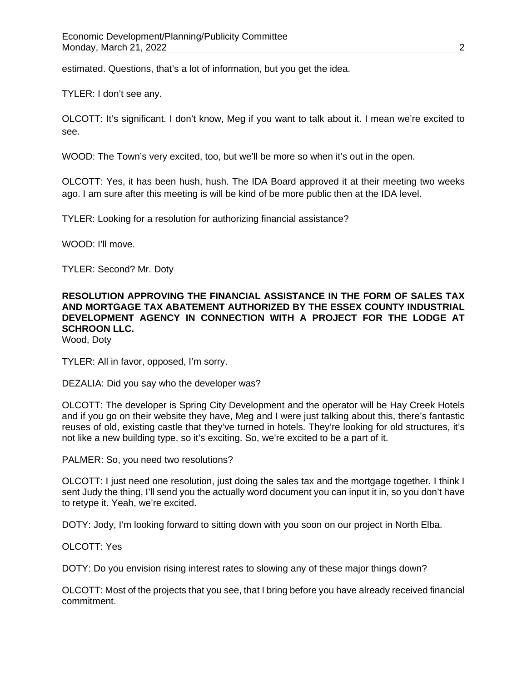estimated. Questions, that's a lot of information, but you get the idea.

TYLER: I don't see any.

OLCOTT: It's significant. I don't know, Meg if you want to talk about it. I mean we're excited to see.

WOOD: The Town's very excited, too, but we'll be more so when it's out in the open.

OLCOTT: Yes, it has been hush, hush. The IDA Board approved it at their meeting two weeks ago. I am sure after this meeting is will be kind of be more public then at the IDA level.

TYLER: Looking for a resolution for authorizing financial assistance?

WOOD: I'll move.

TYLER: Second? Mr. Doty

## **RESOLUTION APPROVING THE FINANCIAL ASSISTANCE IN THE FORM OF SALES TAX AND MORTGAGE TAX ABATEMENT AUTHORIZED BY THE ESSEX COUNTY INDUSTRIAL DEVELOPMENT AGENCY IN CONNECTION WITH A PROJECT FOR THE LODGE AT SCHROON LLC.**

Wood, Doty

TYLER: All in favor, opposed, I'm sorry.

DEZALIA: Did you say who the developer was?

OLCOTT: The developer is Spring City Development and the operator will be Hay Creek Hotels and if you go on their website they have, Meg and I were just talking about this, there's fantastic reuses of old, existing castle that they've turned in hotels. They're looking for old structures, it's not like a new building type, so it's exciting. So, we're excited to be a part of it.

PALMER: So, you need two resolutions?

OLCOTT: I just need one resolution, just doing the sales tax and the mortgage together. I think I sent Judy the thing, I'll send you the actually word document you can input it in, so you don't have to retype it. Yeah, we're excited.

DOTY: Jody, I'm looking forward to sitting down with you soon on our project in North Elba.

OLCOTT: Yes

DOTY: Do you envision rising interest rates to slowing any of these major things down?

OLCOTT: Most of the projects that you see, that I bring before you have already received financial commitment.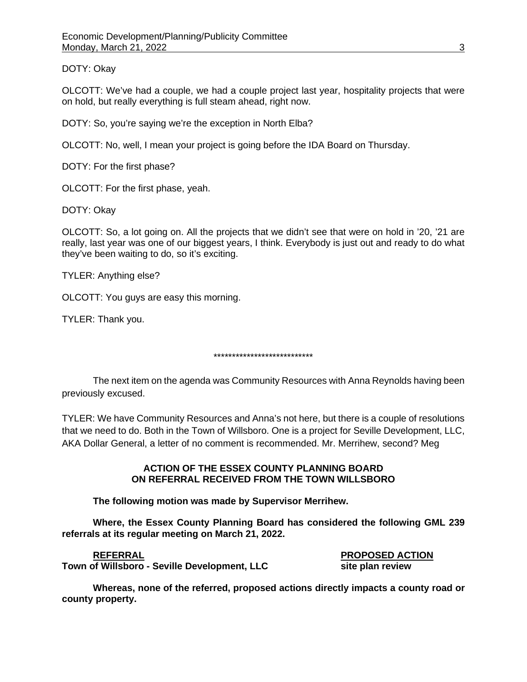DOTY: Okay

OLCOTT: We've had a couple, we had a couple project last year, hospitality projects that were on hold, but really everything is full steam ahead, right now.

DOTY: So, you're saying we're the exception in North Elba?

OLCOTT: No, well, I mean your project is going before the IDA Board on Thursday.

DOTY: For the first phase?

OLCOTT: For the first phase, yeah.

DOTY: Okay

OLCOTT: So, a lot going on. All the projects that we didn't see that were on hold in '20, '21 are really, last year was one of our biggest years, I think. Everybody is just out and ready to do what they've been waiting to do, so it's exciting.

TYLER: Anything else?

OLCOTT: You guys are easy this morning.

TYLER: Thank you.

\*\*\*\*\*\*\*\*\*\*\*\*\*\*\*\*\*\*\*\*\*\*\*\*\*\*\*

The next item on the agenda was Community Resources with Anna Reynolds having been previously excused.

TYLER: We have Community Resources and Anna's not here, but there is a couple of resolutions that we need to do. Both in the Town of Willsboro. One is a project for Seville Development, LLC, AKA Dollar General, a letter of no comment is recommended. Mr. Merrihew, second? Meg

#### **ACTION OF THE ESSEX COUNTY PLANNING BOARD ON REFERRAL RECEIVED FROM THE TOWN WILLSBORO**

**The following motion was made by Supervisor Merrihew.**

**Where, the Essex County Planning Board has considered the following GML 239 referrals at its regular meeting on March 21, 2022.**

**Town of Willsboro** - Seville Development, LLC site plan review

**REFERRAL PROPOSED ACTION**

**Whereas, none of the referred, proposed actions directly impacts a county road or county property.**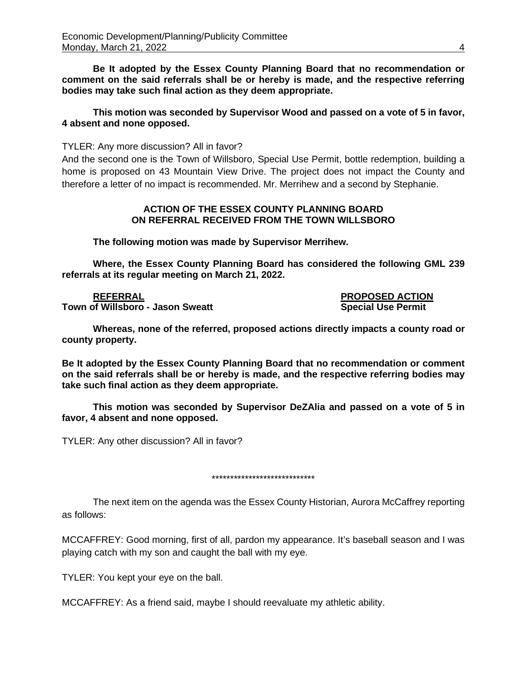**Be It adopted by the Essex County Planning Board that no recommendation or comment on the said referrals shall be or hereby is made, and the respective referring bodies may take such final action as they deem appropriate.**

#### **This motion was seconded by Supervisor Wood and passed on a vote of 5 in favor, 4 absent and none opposed.**

TYLER: Any more discussion? All in favor?

And the second one is the Town of Willsboro, Special Use Permit, bottle redemption, building a home is proposed on 43 Mountain View Drive. The project does not impact the County and therefore a letter of no impact is recommended. Mr. Merrihew and a second by Stephanie.

#### **ACTION OF THE ESSEX COUNTY PLANNING BOARD ON REFERRAL RECEIVED FROM THE TOWN WILLSBORO**

**The following motion was made by Supervisor Merrihew.**

**Where, the Essex County Planning Board has considered the following GML 239 referrals at its regular meeting on March 21, 2022.**

**REFERRAL PROPOSED ACTION Town of Willsboro - Jason Sweatt Special Use Permit Algebra 2016** 

**Whereas, none of the referred, proposed actions directly impacts a county road or county property.**

**Be It adopted by the Essex County Planning Board that no recommendation or comment on the said referrals shall be or hereby is made, and the respective referring bodies may take such final action as they deem appropriate.**

**This motion was seconded by Supervisor DeZAlia and passed on a vote of 5 in favor, 4 absent and none opposed.**

TYLER: Any other discussion? All in favor?

\*\*\*\*\*\*\*\*\*\*\*\*\*\*\*\*\*\*\*\*\*\*\*\*\*\*\*\*

The next item on the agenda was the Essex County Historian, Aurora McCaffrey reporting as follows:

MCCAFFREY: Good morning, first of all, pardon my appearance. It's baseball season and I was playing catch with my son and caught the ball with my eye.

TYLER: You kept your eye on the ball.

MCCAFFREY: As a friend said, maybe I should reevaluate my athletic ability.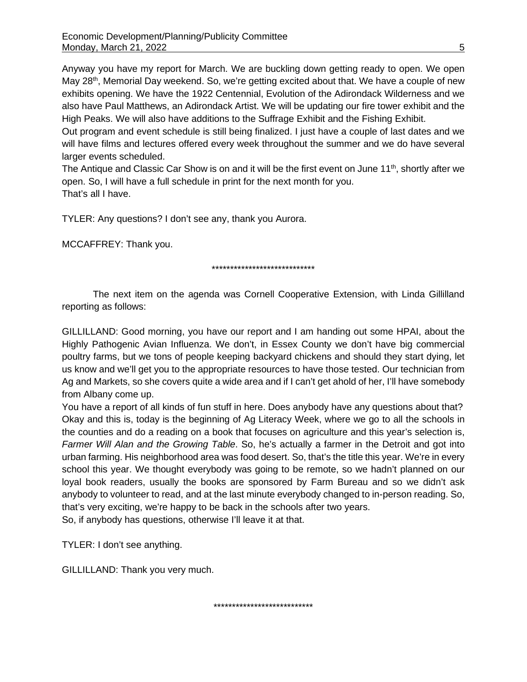Anyway you have my report for March. We are buckling down getting ready to open. We open May 28<sup>th</sup>, Memorial Day weekend. So, we're getting excited about that. We have a couple of new exhibits opening. We have the 1922 Centennial, Evolution of the Adirondack Wilderness and we also have Paul Matthews, an Adirondack Artist. We will be updating our fire tower exhibit and the High Peaks. We will also have additions to the Suffrage Exhibit and the Fishing Exhibit.

Out program and event schedule is still being finalized. I just have a couple of last dates and we will have films and lectures offered every week throughout the summer and we do have several larger events scheduled.

The Antique and Classic Car Show is on and it will be the first event on June  $11<sup>th</sup>$ , shortly after we open. So, I will have a full schedule in print for the next month for you. That's all I have.

TYLER: Any questions? I don't see any, thank you Aurora.

MCCAFFREY: Thank you.

#### \*\*\*\*\*\*\*\*\*\*\*\*\*\*\*\*\*\*\*\*\*\*\*\*\*\*\*\*

The next item on the agenda was Cornell Cooperative Extension, with Linda Gillilland reporting as follows:

GILLILLAND: Good morning, you have our report and I am handing out some HPAI, about the Highly Pathogenic Avian Influenza. We don't, in Essex County we don't have big commercial poultry farms, but we tons of people keeping backyard chickens and should they start dying, let us know and we'll get you to the appropriate resources to have those tested. Our technician from Ag and Markets, so she covers quite a wide area and if I can't get ahold of her, I'll have somebody from Albany come up.

You have a report of all kinds of fun stuff in here. Does anybody have any questions about that? Okay and this is, today is the beginning of Ag Literacy Week, where we go to all the schools in the counties and do a reading on a book that focuses on agriculture and this year's selection is, *Farmer Will Alan and the Growing Table*. So, he's actually a farmer in the Detroit and got into urban farming. His neighborhood area was food desert. So, that's the title this year. We're in every school this year. We thought everybody was going to be remote, so we hadn't planned on our loyal book readers, usually the books are sponsored by Farm Bureau and so we didn't ask anybody to volunteer to read, and at the last minute everybody changed to in-person reading. So, that's very exciting, we're happy to be back in the schools after two years.

\*\*\*\*\*\*\*\*\*\*\*\*\*\*\*\*\*\*\*\*\*\*\*\*\*\*\*

So, if anybody has questions, otherwise I'll leave it at that.

TYLER: I don't see anything.

GILLILLAND: Thank you very much.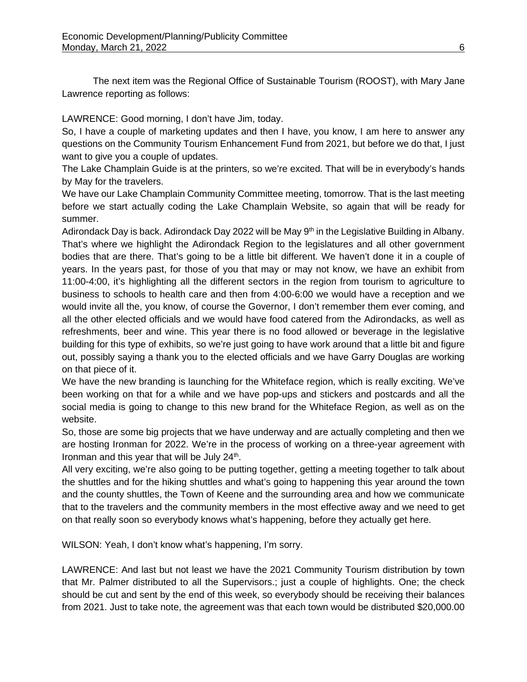The next item was the Regional Office of Sustainable Tourism (ROOST), with Mary Jane Lawrence reporting as follows:

LAWRENCE: Good morning, I don't have Jim, today.

So, I have a couple of marketing updates and then I have, you know, I am here to answer any questions on the Community Tourism Enhancement Fund from 2021, but before we do that, I just want to give you a couple of updates.

The Lake Champlain Guide is at the printers, so we're excited. That will be in everybody's hands by May for the travelers.

We have our Lake Champlain Community Committee meeting, tomorrow. That is the last meeting before we start actually coding the Lake Champlain Website, so again that will be ready for summer.

Adirondack Day is back. Adirondack Day 2022 will be May 9<sup>th</sup> in the Legislative Building in Albany. That's where we highlight the Adirondack Region to the legislatures and all other government bodies that are there. That's going to be a little bit different. We haven't done it in a couple of years. In the years past, for those of you that may or may not know, we have an exhibit from 11:00-4:00, it's highlighting all the different sectors in the region from tourism to agriculture to business to schools to health care and then from 4:00-6:00 we would have a reception and we would invite all the, you know, of course the Governor, I don't remember them ever coming, and all the other elected officials and we would have food catered from the Adirondacks, as well as refreshments, beer and wine. This year there is no food allowed or beverage in the legislative building for this type of exhibits, so we're just going to have work around that a little bit and figure out, possibly saying a thank you to the elected officials and we have Garry Douglas are working on that piece of it.

We have the new branding is launching for the Whiteface region, which is really exciting. We've been working on that for a while and we have pop-ups and stickers and postcards and all the social media is going to change to this new brand for the Whiteface Region, as well as on the website.

So, those are some big projects that we have underway and are actually completing and then we are hosting Ironman for 2022. We're in the process of working on a three-year agreement with Ironman and this year that will be July  $24<sup>th</sup>$ .

All very exciting, we're also going to be putting together, getting a meeting together to talk about the shuttles and for the hiking shuttles and what's going to happening this year around the town and the county shuttles, the Town of Keene and the surrounding area and how we communicate that to the travelers and the community members in the most effective away and we need to get on that really soon so everybody knows what's happening, before they actually get here.

WILSON: Yeah, I don't know what's happening, I'm sorry.

LAWRENCE: And last but not least we have the 2021 Community Tourism distribution by town that Mr. Palmer distributed to all the Supervisors.; just a couple of highlights. One; the check should be cut and sent by the end of this week, so everybody should be receiving their balances from 2021. Just to take note, the agreement was that each town would be distributed \$20,000.00